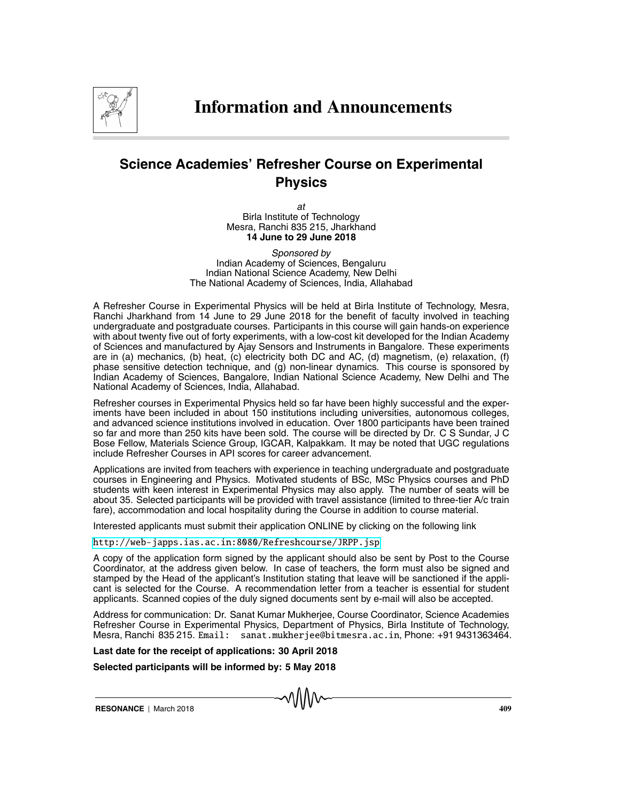

## **Science Academies' Refresher Course on Experimental Physics**

at Birla Institute of Technology Mesra, Ranchi 835 215, Jharkhand **14 June to 29 June 2018**

Sponsored by Indian Academy of Sciences, Bengaluru Indian National Science Academy, New Delhi The National Academy of Sciences, India, Allahabad

A Refresher Course in Experimental Physics will be held at Birla Institute of Technology, Mesra, Ranchi Jharkhand from 14 June to 29 June 2018 for the benefit of faculty involved in teaching undergraduate and postgraduate courses. Participants in this course will gain hands-on experience with about twenty five out of forty experiments, with a low-cost kit developed for the Indian Academy of Sciences and manufactured by Ajay Sensors and Instruments in Bangalore. These experiments are in (a) mechanics, (b) heat, (c) electricity both DC and AC, (d) magnetism, (e) relaxation, (f) phase sensitive detection technique, and (g) non-linear dynamics. This course is sponsored by Indian Academy of Sciences, Bangalore, Indian National Science Academy, New Delhi and The National Academy of Sciences, India, Allahabad.

Refresher courses in Experimental Physics held so far have been highly successful and the experiments have been included in about 150 institutions including universities, autonomous colleges, and advanced science institutions involved in education. Over 1800 participants have been trained so far and more than 250 kits have been sold. The course will be directed by Dr. C S Sundar, J C Bose Fellow, Materials Science Group, IGCAR, Kalpakkam. It may be noted that UGC regulations include Refresher Courses in API scores for career advancement.

Applications are invited from teachers with experience in teaching undergraduate and postgraduate courses in Engineering and Physics. Motivated students of BSc, MSc Physics courses and PhD students with keen interest in Experimental Physics may also apply. The number of seats will be about 35. Selected participants will be provided with travel assistance (limited to three-tier A/c train fare), accommodation and local hospitality during the Course in addition to course material.

Interested applicants must submit their application ONLINE by clicking on the following link

<http://web-japps.ias.ac.in:8080/Refreshcourse/JRPP.jsp>

A copy of the application form signed by the applicant should also be sent by Post to the Course Coordinator, at the address given below. In case of teachers, the form must also be signed and stamped by the Head of the applicant's Institution stating that leave will be sanctioned if the applicant is selected for the Course. A recommendation letter from a teacher is essential for student applicants. Scanned copies of the duly signed documents sent by e-mail will also be accepted.

Address for communication: Dr. Sanat Kumar Mukherjee, Course Coordinator, Science Academies Refresher Course in Experimental Physics, Department of Physics, Birla Institute of Technology, Mesra, Ranchi 835 215. Email: sanat.mukherjee@bitmesra.ac.in, Phone: +91 9431363464.

## **Last date for the receipt of applications: 30 April 2018**

**Selected participants will be informed by: 5 May 2018**